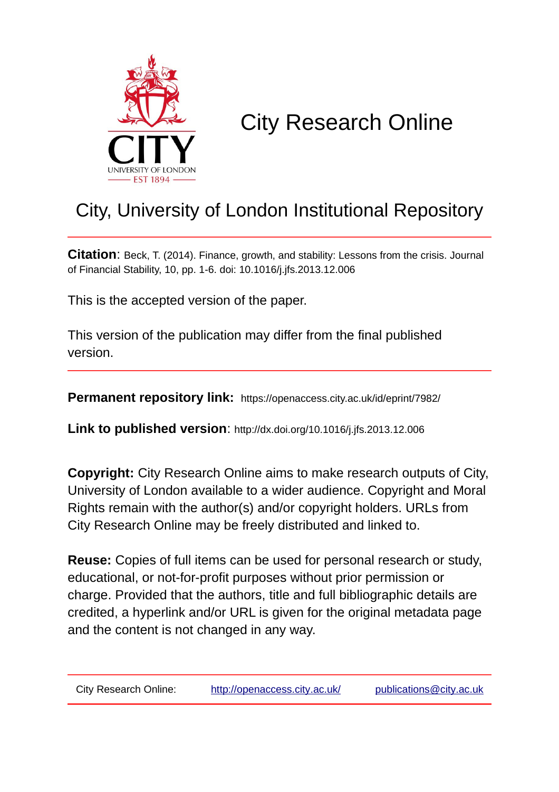

# City Research Online

## City, University of London Institutional Repository

**Citation**: Beck, T. (2014). Finance, growth, and stability: Lessons from the crisis. Journal of Financial Stability, 10, pp. 1-6. doi: 10.1016/j.jfs.2013.12.006

This is the accepted version of the paper.

This version of the publication may differ from the final published version.

**Permanent repository link:** https://openaccess.city.ac.uk/id/eprint/7982/

**Link to published version**: http://dx.doi.org/10.1016/j.jfs.2013.12.006

**Copyright:** City Research Online aims to make research outputs of City, University of London available to a wider audience. Copyright and Moral Rights remain with the author(s) and/or copyright holders. URLs from City Research Online may be freely distributed and linked to.

**Reuse:** Copies of full items can be used for personal research or study, educational, or not-for-profit purposes without prior permission or charge. Provided that the authors, title and full bibliographic details are credited, a hyperlink and/or URL is given for the original metadata page and the content is not changed in any way.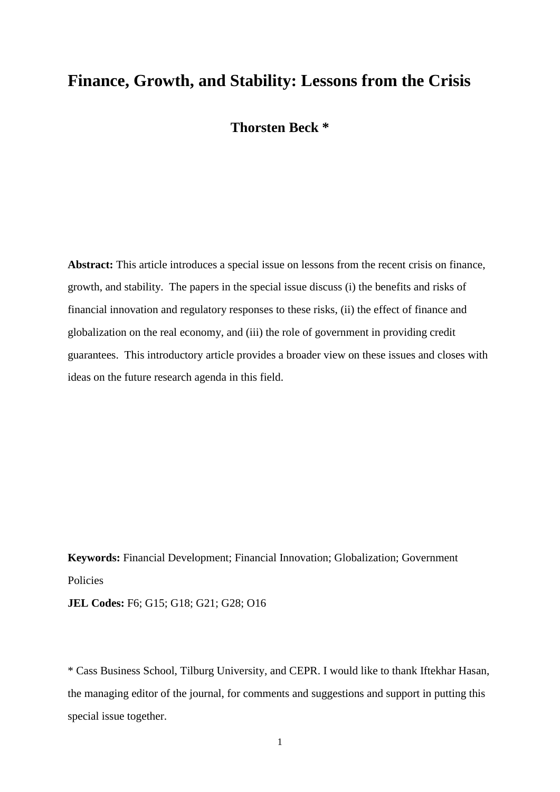### **Finance, Growth, and Stability: Lessons from the Crisis**

#### **Thorsten Beck \***

**Abstract:** This article introduces a special issue on lessons from the recent crisis on finance, growth, and stability. The papers in the special issue discuss (i) the benefits and risks of financial innovation and regulatory responses to these risks, (ii) the effect of finance and globalization on the real economy, and (iii) the role of government in providing credit guarantees. This introductory article provides a broader view on these issues and closes with ideas on the future research agenda in this field.

**Keywords:** Financial Development; Financial Innovation; Globalization; Government Policies **JEL Codes:** F6; G15; G18; G21; G28; O16

\* Cass Business School, Tilburg University, and CEPR. I would like to thank Iftekhar Hasan, the managing editor of the journal, for comments and suggestions and support in putting this special issue together.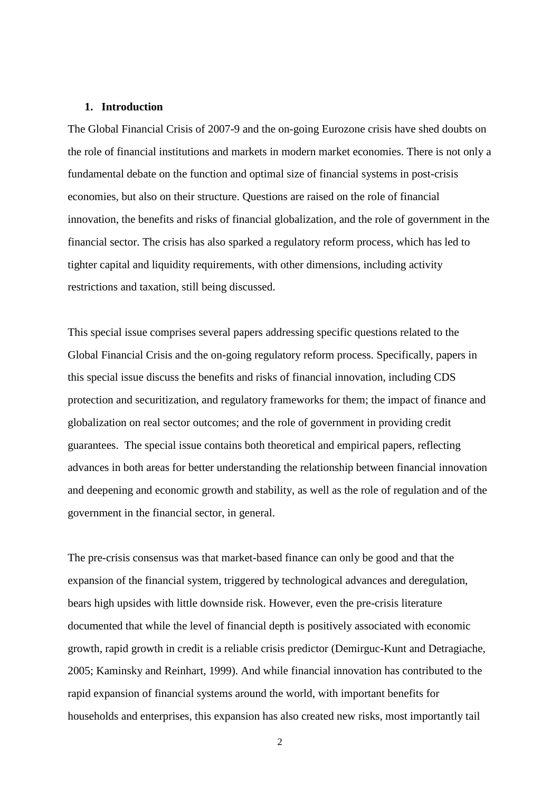#### **1. Introduction**

The Global Financial Crisis of 2007-9 and the on-going Eurozone crisis have shed doubts on the role of financial institutions and markets in modern market economies. There is not only a fundamental debate on the function and optimal size of financial systems in post-crisis economies, but also on their structure. Questions are raised on the role of financial innovation, the benefits and risks of financial globalization, and the role of government in the financial sector. The crisis has also sparked a regulatory reform process, which has led to tighter capital and liquidity requirements, with other dimensions, including activity restrictions and taxation, still being discussed.

This special issue comprises several papers addressing specific questions related to the Global Financial Crisis and the on-going regulatory reform process. Specifically, papers in this special issue discuss the benefits and risks of financial innovation, including CDS protection and securitization, and regulatory frameworks for them; the impact of finance and globalization on real sector outcomes; and the role of government in providing credit guarantees. The special issue contains both theoretical and empirical papers, reflecting advances in both areas for better understanding the relationship between financial innovation and deepening and economic growth and stability, as well as the role of regulation and of the government in the financial sector, in general.

The pre-crisis consensus was that market-based finance can only be good and that the expansion of the financial system, triggered by technological advances and deregulation, bears high upsides with little downside risk. However, even the pre-crisis literature documented that while the level of financial depth is positively associated with economic growth, rapid growth in credit is a reliable crisis predictor (Demirguc-Kunt and Detragiache, 2005; Kaminsky and Reinhart, 1999). And while financial innovation has contributed to the rapid expansion of financial systems around the world, with important benefits for households and enterprises, this expansion has also created new risks, most importantly tail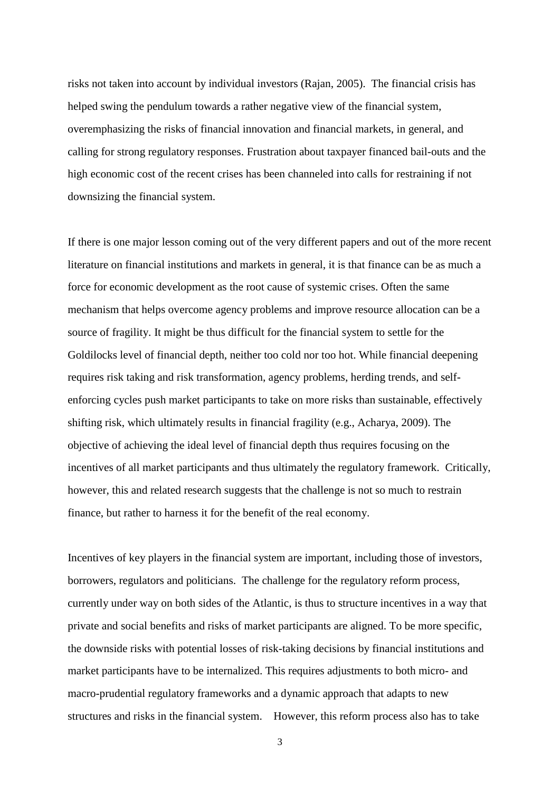risks not taken into account by individual investors (Rajan, 2005). The financial crisis has helped swing the pendulum towards a rather negative view of the financial system, overemphasizing the risks of financial innovation and financial markets, in general, and calling for strong regulatory responses. Frustration about taxpayer financed bail-outs and the high economic cost of the recent crises has been channeled into calls for restraining if not downsizing the financial system.

If there is one major lesson coming out of the very different papers and out of the more recent literature on financial institutions and markets in general, it is that finance can be as much a force for economic development as the root cause of systemic crises. Often the same mechanism that helps overcome agency problems and improve resource allocation can be a source of fragility. It might be thus difficult for the financial system to settle for the Goldilocks level of financial depth, neither too cold nor too hot. While financial deepening requires risk taking and risk transformation, agency problems, herding trends, and selfenforcing cycles push market participants to take on more risks than sustainable, effectively shifting risk, which ultimately results in financial fragility (e.g., Acharya, 2009). The objective of achieving the ideal level of financial depth thus requires focusing on the incentives of all market participants and thus ultimately the regulatory framework. Critically, however, this and related research suggests that the challenge is not so much to restrain finance, but rather to harness it for the benefit of the real economy.

Incentives of key players in the financial system are important, including those of investors, borrowers, regulators and politicians. The challenge for the regulatory reform process, currently under way on both sides of the Atlantic, is thus to structure incentives in a way that private and social benefits and risks of market participants are aligned. To be more specific, the downside risks with potential losses of risk-taking decisions by financial institutions and market participants have to be internalized. This requires adjustments to both micro- and macro-prudential regulatory frameworks and a dynamic approach that adapts to new structures and risks in the financial system. However, this reform process also has to take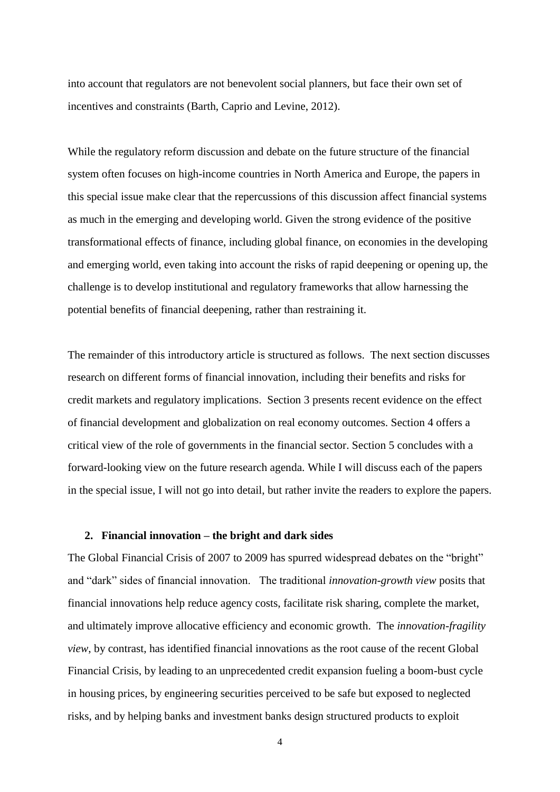into account that regulators are not benevolent social planners, but face their own set of incentives and constraints (Barth, Caprio and Levine, 2012).

While the regulatory reform discussion and debate on the future structure of the financial system often focuses on high-income countries in North America and Europe, the papers in this special issue make clear that the repercussions of this discussion affect financial systems as much in the emerging and developing world. Given the strong evidence of the positive transformational effects of finance, including global finance, on economies in the developing and emerging world, even taking into account the risks of rapid deepening or opening up, the challenge is to develop institutional and regulatory frameworks that allow harnessing the potential benefits of financial deepening, rather than restraining it.

The remainder of this introductory article is structured as follows. The next section discusses research on different forms of financial innovation, including their benefits and risks for credit markets and regulatory implications. Section 3 presents recent evidence on the effect of financial development and globalization on real economy outcomes. Section 4 offers a critical view of the role of governments in the financial sector. Section 5 concludes with a forward-looking view on the future research agenda. While I will discuss each of the papers in the special issue, I will not go into detail, but rather invite the readers to explore the papers.

#### **2. Financial innovation – the bright and dark sides**

The Global Financial Crisis of 2007 to 2009 has spurred widespread debates on the "bright" and "dark" sides of financial innovation. The traditional *innovation-growth view* posits that financial innovations help reduce agency costs, facilitate risk sharing, complete the market, and ultimately improve allocative efficiency and economic growth. The *innovation-fragility view*, by contrast, has identified financial innovations as the root cause of the recent Global Financial Crisis, by leading to an unprecedented credit expansion fueling a boom-bust cycle in housing prices, by engineering securities perceived to be safe but exposed to neglected risks, and by helping banks and investment banks design structured products to exploit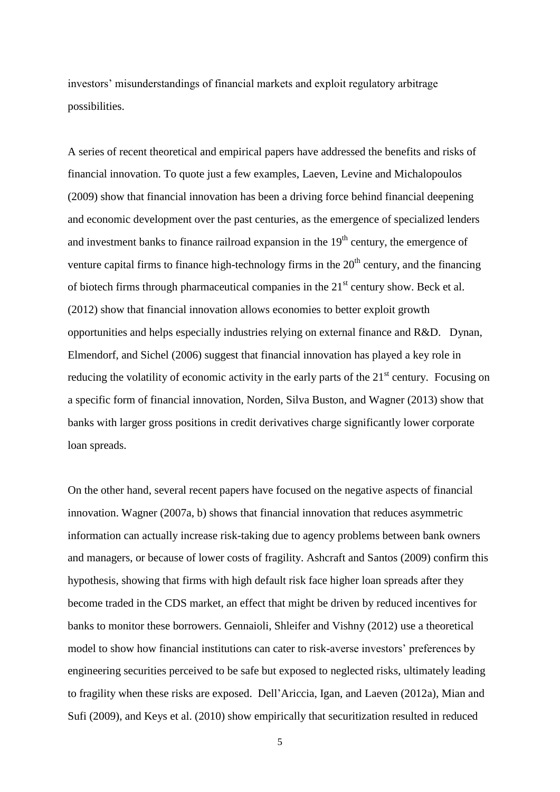investors' misunderstandings of financial markets and exploit regulatory arbitrage possibilities.

A series of recent theoretical and empirical papers have addressed the benefits and risks of financial innovation. To quote just a few examples, Laeven, Levine and Michalopoulos (2009) show that financial innovation has been a driving force behind financial deepening and economic development over the past centuries, as the emergence of specialized lenders and investment banks to finance railroad expansion in the  $19<sup>th</sup>$  century, the emergence of venture capital firms to finance high-technology firms in the  $20<sup>th</sup>$  century, and the financing of biotech firms through pharmaceutical companies in the  $21<sup>st</sup>$  century show. Beck et al. (2012) show that financial innovation allows economies to better exploit growth opportunities and helps especially industries relying on external finance and R&D. Dynan, Elmendorf, and Sichel (2006) suggest that financial innovation has played a key role in reducing the volatility of economic activity in the early parts of the  $21<sup>st</sup>$  century. Focusing on a specific form of financial innovation, Norden, Silva Buston, and Wagner (2013) show that banks with larger gross positions in credit derivatives charge significantly lower corporate loan spreads.

On the other hand, several recent papers have focused on the negative aspects of financial innovation. Wagner (2007a, b) shows that financial innovation that reduces asymmetric information can actually increase risk-taking due to agency problems between bank owners and managers, or because of lower costs of fragility. Ashcraft and Santos (2009) confirm this hypothesis, showing that firms with high default risk face higher loan spreads after they become traded in the CDS market, an effect that might be driven by reduced incentives for banks to monitor these borrowers. Gennaioli, Shleifer and Vishny (2012) use a theoretical model to show how financial institutions can cater to risk-averse investors' preferences by engineering securities perceived to be safe but exposed to neglected risks, ultimately leading to fragility when these risks are exposed. Dell'Ariccia, Igan, and Laeven (2012a), Mian and Sufi (2009), and Keys et al. (2010) show empirically that securitization resulted in reduced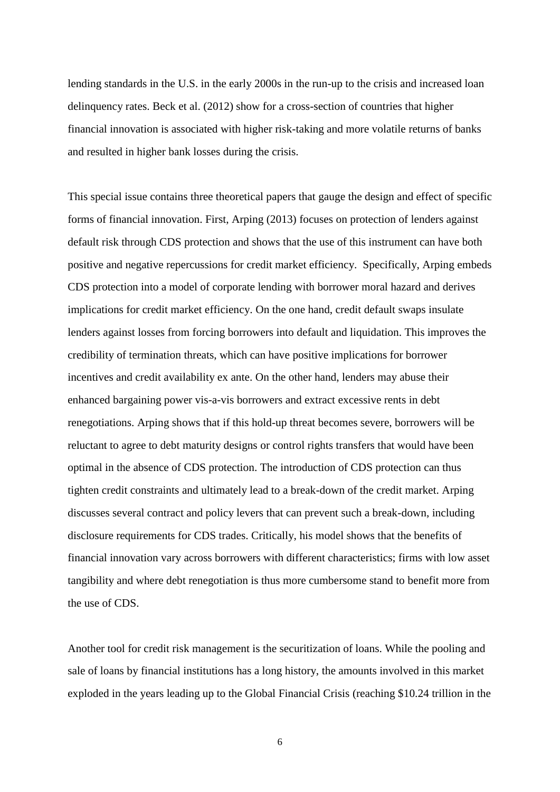lending standards in the U.S. in the early 2000s in the run-up to the crisis and increased loan delinquency rates. Beck et al. (2012) show for a cross-section of countries that higher financial innovation is associated with higher risk-taking and more volatile returns of banks and resulted in higher bank losses during the crisis.

This special issue contains three theoretical papers that gauge the design and effect of specific forms of financial innovation. First, Arping (2013) focuses on protection of lenders against default risk through CDS protection and shows that the use of this instrument can have both positive and negative repercussions for credit market efficiency. Specifically, Arping embeds CDS protection into a model of corporate lending with borrower moral hazard and derives implications for credit market efficiency. On the one hand, credit default swaps insulate lenders against losses from forcing borrowers into default and liquidation. This improves the credibility of termination threats, which can have positive implications for borrower incentives and credit availability ex ante. On the other hand, lenders may abuse their enhanced bargaining power vis-a-vis borrowers and extract excessive rents in debt renegotiations. Arping shows that if this hold-up threat becomes severe, borrowers will be reluctant to agree to debt maturity designs or control rights transfers that would have been optimal in the absence of CDS protection. The introduction of CDS protection can thus tighten credit constraints and ultimately lead to a break-down of the credit market. Arping discusses several contract and policy levers that can prevent such a break-down, including disclosure requirements for CDS trades. Critically, his model shows that the benefits of financial innovation vary across borrowers with different characteristics; firms with low asset tangibility and where debt renegotiation is thus more cumbersome stand to benefit more from the use of CDS.

Another tool for credit risk management is the securitization of loans. While the pooling and sale of loans by financial institutions has a long history, the amounts involved in this market exploded in the years leading up to the Global Financial Crisis (reaching \$10.24 trillion in the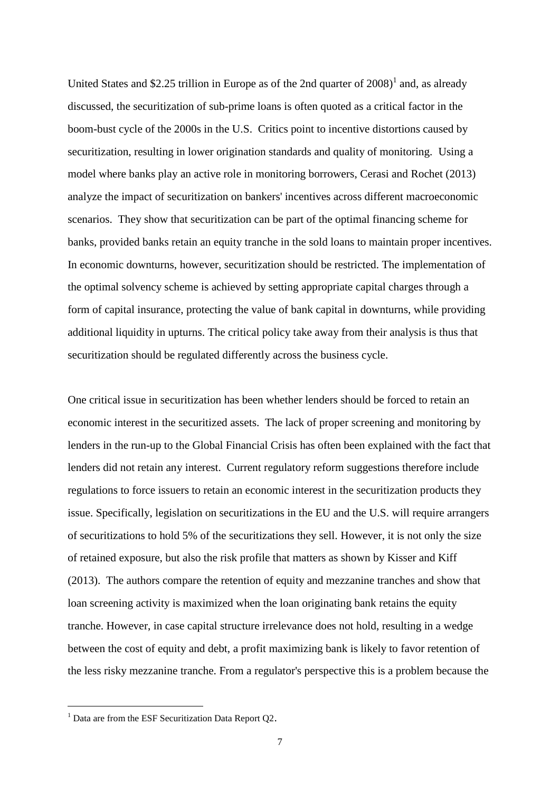United States and \$2.25 trillion in Europe as of the 2nd quarter of  $2008$ <sup>1</sup> and, as already discussed, the securitization of sub-prime loans is often quoted as a critical factor in the boom-bust cycle of the 2000s in the U.S. Critics point to incentive distortions caused by securitization, resulting in lower origination standards and quality of monitoring. Using a model where banks play an active role in monitoring borrowers, Cerasi and Rochet (2013) analyze the impact of securitization on bankers' incentives across different macroeconomic scenarios. They show that securitization can be part of the optimal financing scheme for banks, provided banks retain an equity tranche in the sold loans to maintain proper incentives. In economic downturns, however, securitization should be restricted. The implementation of the optimal solvency scheme is achieved by setting appropriate capital charges through a form of capital insurance, protecting the value of bank capital in downturns, while providing additional liquidity in upturns. The critical policy take away from their analysis is thus that securitization should be regulated differently across the business cycle.

One critical issue in securitization has been whether lenders should be forced to retain an economic interest in the securitized assets. The lack of proper screening and monitoring by lenders in the run-up to the Global Financial Crisis has often been explained with the fact that lenders did not retain any interest. Current regulatory reform suggestions therefore include regulations to force issuers to retain an economic interest in the securitization products they issue. Specifically, legislation on securitizations in the EU and the U.S. will require arrangers of securitizations to hold 5% of the securitizations they sell. However, it is not only the size of retained exposure, but also the risk profile that matters as shown by Kisser and Kiff (2013). The authors compare the retention of equity and mezzanine tranches and show that loan screening activity is maximized when the loan originating bank retains the equity tranche. However, in case capital structure irrelevance does not hold, resulting in a wedge between the cost of equity and debt, a profit maximizing bank is likely to favor retention of the less risky mezzanine tranche. From a regulator's perspective this is a problem because the

 $\overline{a}$ 

 $1$  Data are from the ESF Securitization Data Report O2.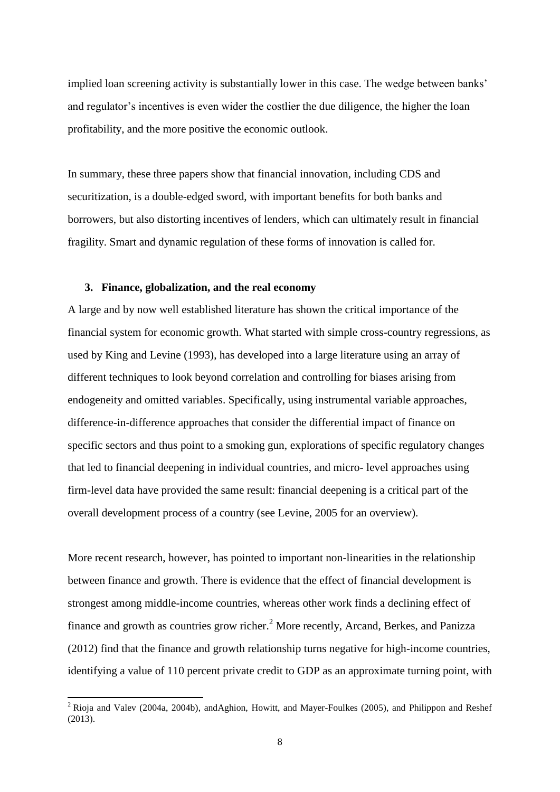implied loan screening activity is substantially lower in this case. The wedge between banks' and regulator's incentives is even wider the costlier the due diligence, the higher the loan profitability, and the more positive the economic outlook.

In summary, these three papers show that financial innovation, including CDS and securitization, is a double-edged sword, with important benefits for both banks and borrowers, but also distorting incentives of lenders, which can ultimately result in financial fragility. Smart and dynamic regulation of these forms of innovation is called for.

#### **3. Finance, globalization, and the real economy**

**.** 

A large and by now well established literature has shown the critical importance of the financial system for economic growth. What started with simple cross-country regressions, as used by King and Levine (1993), has developed into a large literature using an array of different techniques to look beyond correlation and controlling for biases arising from endogeneity and omitted variables. Specifically, using instrumental variable approaches, difference-in-difference approaches that consider the differential impact of finance on specific sectors and thus point to a smoking gun, explorations of specific regulatory changes that led to financial deepening in individual countries, and micro- level approaches using firm-level data have provided the same result: financial deepening is a critical part of the overall development process of a country (see Levine, 2005 for an overview).

More recent research, however, has pointed to important non-linearities in the relationship between finance and growth. There is evidence that the effect of financial development is strongest among middle-income countries, whereas other work finds a declining effect of finance and growth as countries grow richer.<sup>2</sup> More recently, Arcand, Berkes, and Panizza (2012) find that the finance and growth relationship turns negative for high-income countries, identifying a value of 110 percent private credit to GDP as an approximate turning point, with

 $2$  Rioja and Valev (2004a, 2004b), andAghion, Howitt, and Mayer-Foulkes (2005), and Philippon and Reshef (2013).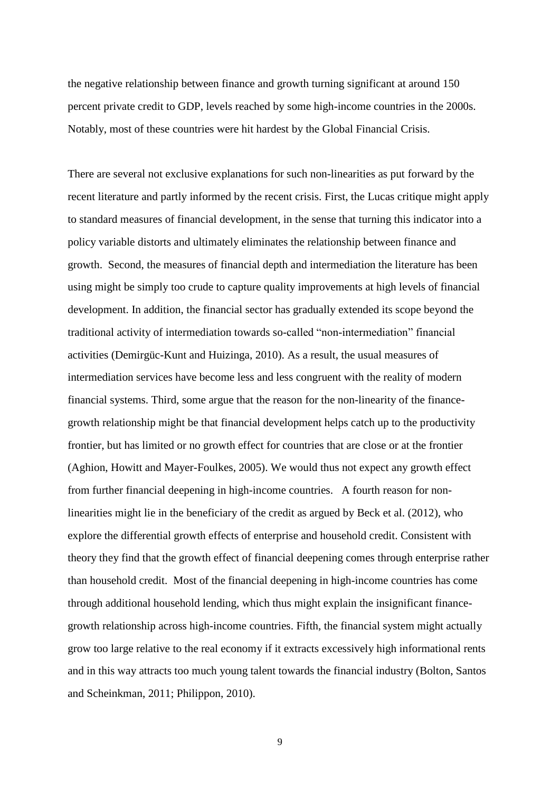the negative relationship between finance and growth turning significant at around 150 percent private credit to GDP, levels reached by some high-income countries in the 2000s. Notably, most of these countries were hit hardest by the Global Financial Crisis.

There are several not exclusive explanations for such non-linearities as put forward by the recent literature and partly informed by the recent crisis. First, the Lucas critique might apply to standard measures of financial development, in the sense that turning this indicator into a policy variable distorts and ultimately eliminates the relationship between finance and growth. Second, the measures of financial depth and intermediation the literature has been using might be simply too crude to capture quality improvements at high levels of financial development. In addition, the financial sector has gradually extended its scope beyond the traditional activity of intermediation towards so-called "non-intermediation" financial activities (Demirgüc-Kunt and Huizinga, 2010). As a result, the usual measures of intermediation services have become less and less congruent with the reality of modern financial systems. Third, some argue that the reason for the non-linearity of the financegrowth relationship might be that financial development helps catch up to the productivity frontier, but has limited or no growth effect for countries that are close or at the frontier (Aghion, Howitt and Mayer-Foulkes, 2005). We would thus not expect any growth effect from further financial deepening in high-income countries. A fourth reason for nonlinearities might lie in the beneficiary of the credit as argued by Beck et al. (2012), who explore the differential growth effects of enterprise and household credit. Consistent with theory they find that the growth effect of financial deepening comes through enterprise rather than household credit. Most of the financial deepening in high-income countries has come through additional household lending, which thus might explain the insignificant financegrowth relationship across high-income countries. Fifth, the financial system might actually grow too large relative to the real economy if it extracts excessively high informational rents and in this way attracts too much young talent towards the financial industry (Bolton, Santos and Scheinkman, 2011; Philippon, 2010).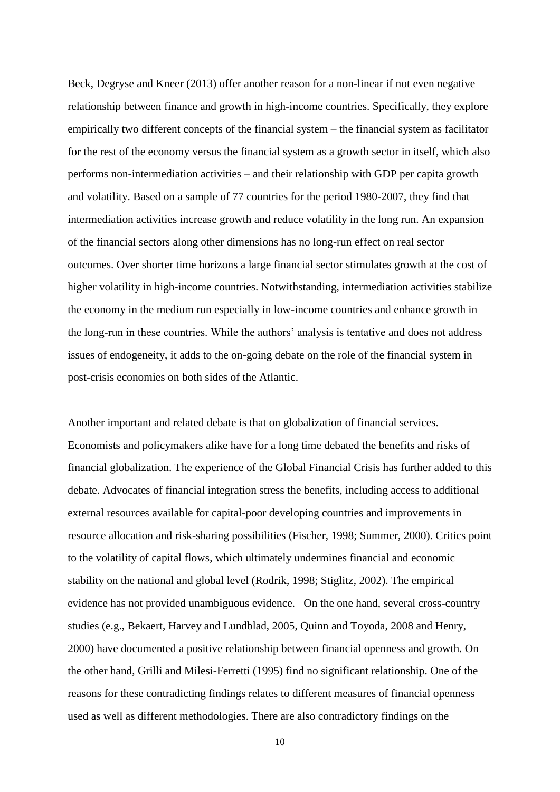Beck, Degryse and Kneer (2013) offer another reason for a non-linear if not even negative relationship between finance and growth in high-income countries. Specifically, they explore empirically two different concepts of the financial system – the financial system as facilitator for the rest of the economy versus the financial system as a growth sector in itself, which also performs non-intermediation activities – and their relationship with GDP per capita growth and volatility. Based on a sample of 77 countries for the period 1980-2007, they find that intermediation activities increase growth and reduce volatility in the long run. An expansion of the financial sectors along other dimensions has no long-run effect on real sector outcomes. Over shorter time horizons a large financial sector stimulates growth at the cost of higher volatility in high-income countries. Notwithstanding, intermediation activities stabilize the economy in the medium run especially in low-income countries and enhance growth in the long-run in these countries. While the authors' analysis is tentative and does not address issues of endogeneity, it adds to the on-going debate on the role of the financial system in post-crisis economies on both sides of the Atlantic.

Another important and related debate is that on globalization of financial services. Economists and policymakers alike have for a long time debated the benefits and risks of financial globalization. The experience of the Global Financial Crisis has further added to this debate. Advocates of financial integration stress the benefits, including access to additional external resources available for capital-poor developing countries and improvements in resource allocation and risk-sharing possibilities (Fischer, 1998; Summer, 2000). Critics point to the volatility of capital flows, which ultimately undermines financial and economic stability on the national and global level (Rodrik, 1998; Stiglitz, 2002). The empirical evidence has not provided unambiguous evidence. On the one hand, several cross-country studies (e.g., Bekaert, Harvey and Lundblad, 2005, Quinn and Toyoda, 2008 and Henry, 2000) have documented a positive relationship between financial openness and growth. On the other hand, Grilli and Milesi-Ferretti (1995) find no significant relationship. One of the reasons for these contradicting findings relates to different measures of financial openness used as well as different methodologies. There are also contradictory findings on the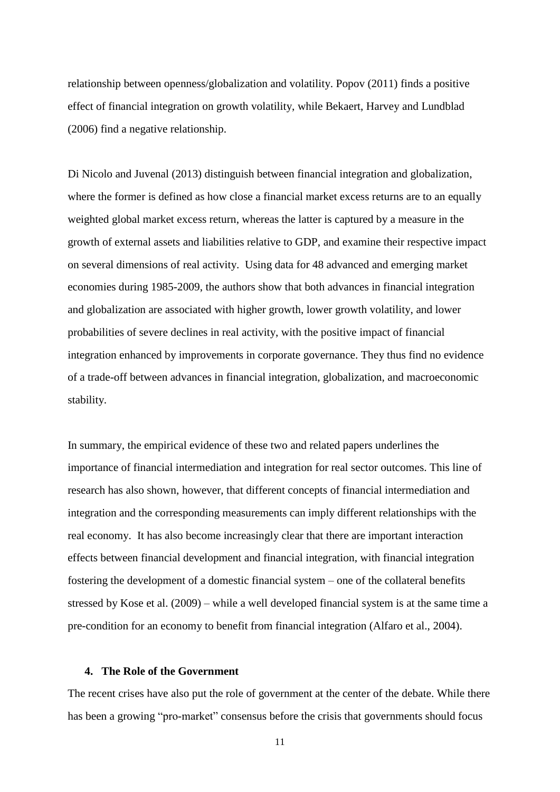relationship between openness/globalization and volatility. Popov (2011) finds a positive effect of financial integration on growth volatility, while Bekaert, Harvey and Lundblad (2006) find a negative relationship.

Di Nicolo and Juvenal (2013) distinguish between financial integration and globalization, where the former is defined as how close a financial market excess returns are to an equally weighted global market excess return, whereas the latter is captured by a measure in the growth of external assets and liabilities relative to GDP, and examine their respective impact on several dimensions of real activity. Using data for 48 advanced and emerging market economies during 1985-2009, the authors show that both advances in financial integration and globalization are associated with higher growth, lower growth volatility, and lower probabilities of severe declines in real activity, with the positive impact of financial integration enhanced by improvements in corporate governance. They thus find no evidence of a trade-off between advances in financial integration, globalization, and macroeconomic stability.

In summary, the empirical evidence of these two and related papers underlines the importance of financial intermediation and integration for real sector outcomes. This line of research has also shown, however, that different concepts of financial intermediation and integration and the corresponding measurements can imply different relationships with the real economy. It has also become increasingly clear that there are important interaction effects between financial development and financial integration, with financial integration fostering the development of a domestic financial system – one of the collateral benefits stressed by Kose et al. (2009) – while a well developed financial system is at the same time a pre-condition for an economy to benefit from financial integration (Alfaro et al., 2004).

#### **4. The Role of the Government**

The recent crises have also put the role of government at the center of the debate. While there has been a growing "pro-market" consensus before the crisis that governments should focus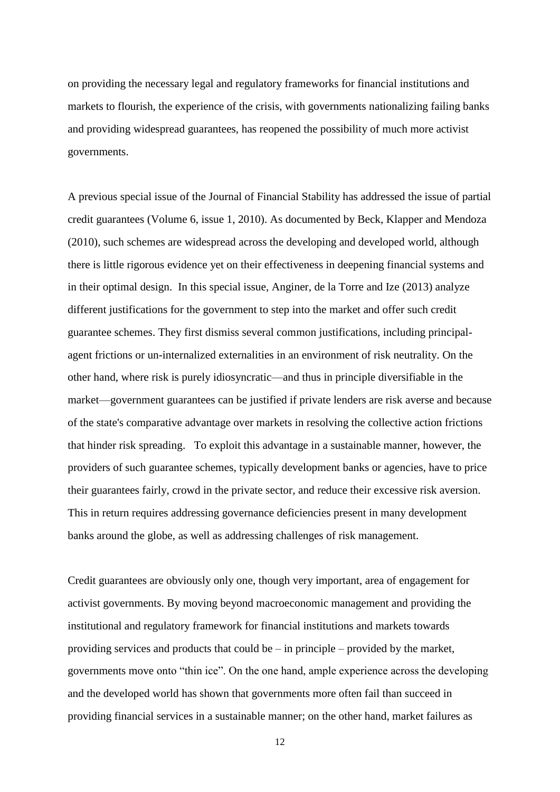on providing the necessary legal and regulatory frameworks for financial institutions and markets to flourish, the experience of the crisis, with governments nationalizing failing banks and providing widespread guarantees, has reopened the possibility of much more activist governments.

A previous special issue of the Journal of Financial Stability has addressed the issue of partial credit guarantees (Volume 6, issue 1, 2010). As documented by Beck, Klapper and Mendoza (2010), such schemes are widespread across the developing and developed world, although there is little rigorous evidence yet on their effectiveness in deepening financial systems and in their optimal design. In this special issue, Anginer, de la Torre and Ize (2013) analyze different justifications for the government to step into the market and offer such credit guarantee schemes. They first dismiss several common justifications, including principalagent frictions or un-internalized externalities in an environment of risk neutrality. On the other hand, where risk is purely idiosyncratic—and thus in principle diversifiable in the market—government guarantees can be justified if private lenders are risk averse and because of the state's comparative advantage over markets in resolving the collective action frictions that hinder risk spreading. To exploit this advantage in a sustainable manner, however, the providers of such guarantee schemes, typically development banks or agencies, have to price their guarantees fairly, crowd in the private sector, and reduce their excessive risk aversion. This in return requires addressing governance deficiencies present in many development banks around the globe, as well as addressing challenges of risk management.

Credit guarantees are obviously only one, though very important, area of engagement for activist governments. By moving beyond macroeconomic management and providing the institutional and regulatory framework for financial institutions and markets towards providing services and products that could be  $-$  in principle  $-$  provided by the market, governments move onto "thin ice". On the one hand, ample experience across the developing and the developed world has shown that governments more often fail than succeed in providing financial services in a sustainable manner; on the other hand, market failures as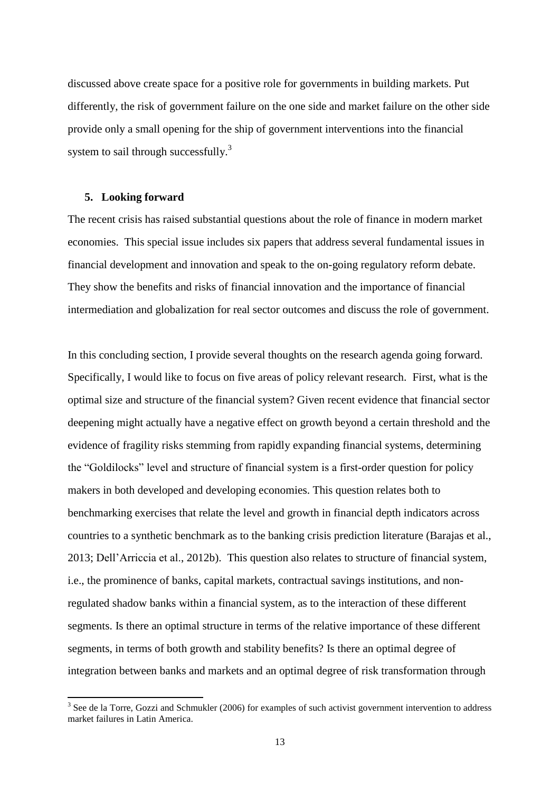discussed above create space for a positive role for governments in building markets. Put differently, the risk of government failure on the one side and market failure on the other side provide only a small opening for the ship of government interventions into the financial system to sail through successfully.<sup>3</sup>

#### **5. Looking forward**

The recent crisis has raised substantial questions about the role of finance in modern market economies. This special issue includes six papers that address several fundamental issues in financial development and innovation and speak to the on-going regulatory reform debate. They show the benefits and risks of financial innovation and the importance of financial intermediation and globalization for real sector outcomes and discuss the role of government.

In this concluding section, I provide several thoughts on the research agenda going forward. Specifically, I would like to focus on five areas of policy relevant research. First, what is the optimal size and structure of the financial system? Given recent evidence that financial sector deepening might actually have a negative effect on growth beyond a certain threshold and the evidence of fragility risks stemming from rapidly expanding financial systems, determining the "Goldilocks" level and structure of financial system is a first-order question for policy makers in both developed and developing economies. This question relates both to benchmarking exercises that relate the level and growth in financial depth indicators across countries to a synthetic benchmark as to the banking crisis prediction literature (Barajas et al., 2013; Dell'Arriccia et al., 2012b). This question also relates to structure of financial system, i.e., the prominence of banks, capital markets, contractual savings institutions, and nonregulated shadow banks within a financial system, as to the interaction of these different segments. Is there an optimal structure in terms of the relative importance of these different segments, in terms of both growth and stability benefits? Is there an optimal degree of integration between banks and markets and an optimal degree of risk transformation through

<sup>&</sup>lt;sup>3</sup> See de la Torre, Gozzi and Schmukler (2006) for examples of such activist government intervention to address market failures in Latin America.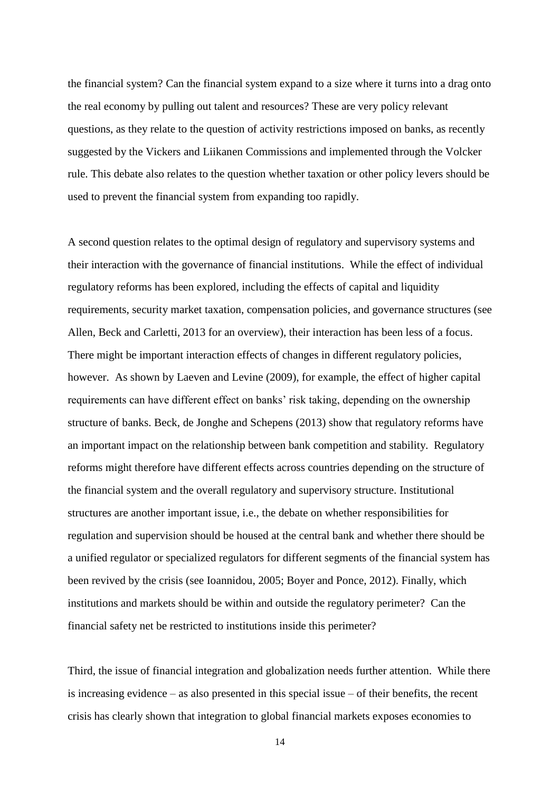the financial system? Can the financial system expand to a size where it turns into a drag onto the real economy by pulling out talent and resources? These are very policy relevant questions, as they relate to the question of activity restrictions imposed on banks, as recently suggested by the Vickers and Liikanen Commissions and implemented through the Volcker rule. This debate also relates to the question whether taxation or other policy levers should be used to prevent the financial system from expanding too rapidly.

A second question relates to the optimal design of regulatory and supervisory systems and their interaction with the governance of financial institutions. While the effect of individual regulatory reforms has been explored, including the effects of capital and liquidity requirements, security market taxation, compensation policies, and governance structures (see Allen, Beck and Carletti, 2013 for an overview), their interaction has been less of a focus. There might be important interaction effects of changes in different regulatory policies, however. As shown by Laeven and Levine (2009), for example, the effect of higher capital requirements can have different effect on banks' risk taking, depending on the ownership structure of banks. Beck, de Jonghe and Schepens (2013) show that regulatory reforms have an important impact on the relationship between bank competition and stability. Regulatory reforms might therefore have different effects across countries depending on the structure of the financial system and the overall regulatory and supervisory structure. Institutional structures are another important issue, i.e., the debate on whether responsibilities for regulation and supervision should be housed at the central bank and whether there should be a unified regulator or specialized regulators for different segments of the financial system has been revived by the crisis (see Ioannidou, 2005; Boyer and Ponce, 2012). Finally, which institutions and markets should be within and outside the regulatory perimeter? Can the financial safety net be restricted to institutions inside this perimeter?

Third, the issue of financial integration and globalization needs further attention. While there is increasing evidence – as also presented in this special issue – of their benefits, the recent crisis has clearly shown that integration to global financial markets exposes economies to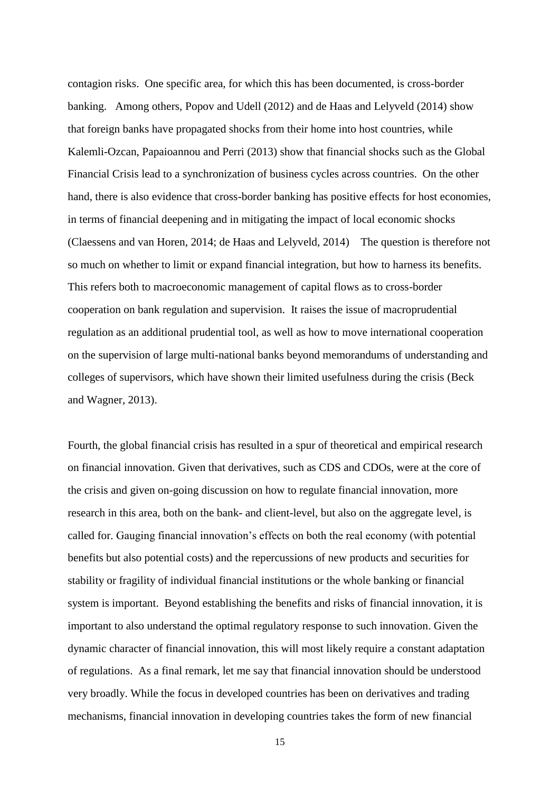contagion risks. One specific area, for which this has been documented, is cross-border banking. Among others, Popov and Udell (2012) and de Haas and Lelyveld (2014) show that foreign banks have propagated shocks from their home into host countries, while Kalemli-Ozcan, Papaioannou and Perri (2013) show that financial shocks such as the Global Financial Crisis lead to a synchronization of business cycles across countries. On the other hand, there is also evidence that cross-border banking has positive effects for host economies, in terms of financial deepening and in mitigating the impact of local economic shocks (Claessens and van Horen, 2014; de Haas and Lelyveld, 2014) The question is therefore not so much on whether to limit or expand financial integration, but how to harness its benefits. This refers both to macroeconomic management of capital flows as to cross-border cooperation on bank regulation and supervision. It raises the issue of macroprudential regulation as an additional prudential tool, as well as how to move international cooperation on the supervision of large multi-national banks beyond memorandums of understanding and colleges of supervisors, which have shown their limited usefulness during the crisis (Beck and Wagner, 2013).

Fourth, the global financial crisis has resulted in a spur of theoretical and empirical research on financial innovation. Given that derivatives, such as CDS and CDOs, were at the core of the crisis and given on-going discussion on how to regulate financial innovation, more research in this area, both on the bank- and client-level, but also on the aggregate level, is called for. Gauging financial innovation's effects on both the real economy (with potential benefits but also potential costs) and the repercussions of new products and securities for stability or fragility of individual financial institutions or the whole banking or financial system is important. Beyond establishing the benefits and risks of financial innovation, it is important to also understand the optimal regulatory response to such innovation. Given the dynamic character of financial innovation, this will most likely require a constant adaptation of regulations. As a final remark, let me say that financial innovation should be understood very broadly. While the focus in developed countries has been on derivatives and trading mechanisms, financial innovation in developing countries takes the form of new financial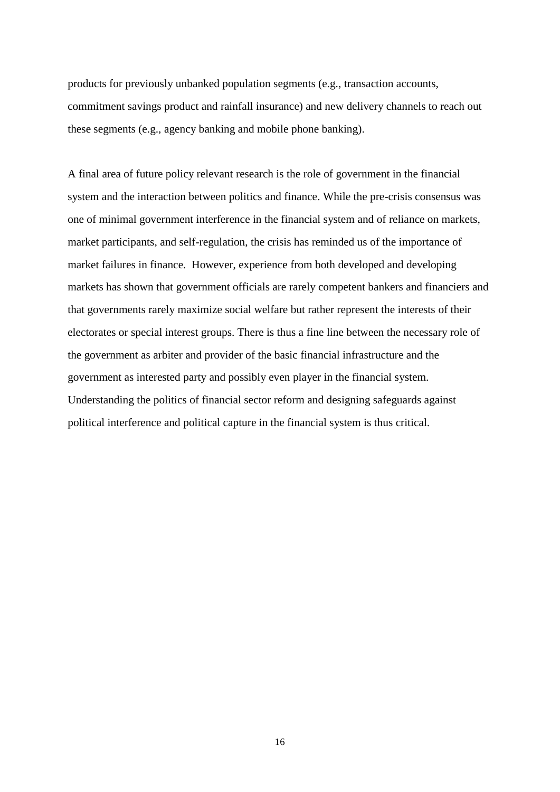products for previously unbanked population segments (e.g., transaction accounts, commitment savings product and rainfall insurance) and new delivery channels to reach out these segments (e.g., agency banking and mobile phone banking).

A final area of future policy relevant research is the role of government in the financial system and the interaction between politics and finance. While the pre-crisis consensus was one of minimal government interference in the financial system and of reliance on markets, market participants, and self-regulation, the crisis has reminded us of the importance of market failures in finance. However, experience from both developed and developing markets has shown that government officials are rarely competent bankers and financiers and that governments rarely maximize social welfare but rather represent the interests of their electorates or special interest groups. There is thus a fine line between the necessary role of the government as arbiter and provider of the basic financial infrastructure and the government as interested party and possibly even player in the financial system. Understanding the politics of financial sector reform and designing safeguards against political interference and political capture in the financial system is thus critical.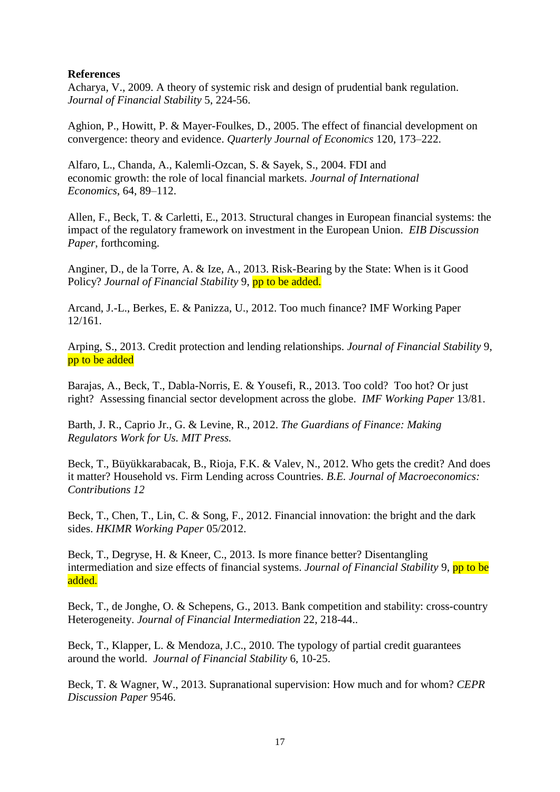#### **References**

Acharya, V., 2009. A theory of systemic risk and design of prudential bank regulation. *Journal of Financial Stability* 5, 224-56.

Aghion, P., Howitt, P. & Mayer-Foulkes, D., 2005. The effect of financial development on convergence: theory and evidence. *Quarterly Journal of Economics* 120, 173–222.

Alfaro, L., Chanda, A., Kalemli-Ozcan, S. & Sayek, S., 2004. FDI and economic growth: the role of local financial markets. *Journal of International Economics*, 64, 89–112.

Allen, F., Beck, T. & Carletti, E., 2013. Structural changes in European financial systems: the impact of the regulatory framework on investment in the European Union. *EIB Discussion Paper*, forthcoming.

Anginer, D., de la Torre, A. & Ize, A., 2013. Risk-Bearing by the State: When is it Good Policy? *Journal of Financial Stability* 9, **pp to be added.** 

Arcand, J.-L., Berkes, E. & Panizza, U., 2012. Too much finance? IMF Working Paper 12/161.

Arping, S., 2013. Credit protection and lending relationships. *Journal of Financial Stability* 9, pp to be added

Barajas, A., Beck, T., Dabla-Norris, E. & Yousefi, R., 2013. Too cold? Too hot? Or just right? Assessing financial sector development across the globe. *IMF Working Paper* 13/81.

Barth, J. R., Caprio Jr., G. & Levine, R., 2012. *The Guardians of Finance: Making Regulators Work for Us. MIT Press.*

Beck, T., Büyükkarabacak, B., Rioja, F.K. & Valev, N., 2012. Who gets the credit? And does it matter? Household vs. Firm Lending across Countries. *B.E. Journal of Macroeconomics: Contributions 12*

Beck, T., Chen, T., Lin, C. & Song, F., 2012. Financial innovation: the bright and the dark sides. *HKIMR Working Paper* 05/2012.

Beck, T., Degryse, H. & Kneer, C., 2013. Is more finance better? Disentangling intermediation and size effects of financial systems. *Journal of Financial Stability* 9, pp to be added.

Beck, T., de Jonghe, O. & Schepens, G., 2013. Bank competition and stability: cross-country Heterogeneity. *Journal of Financial Intermediation* 22, 218-44..

Beck, T., Klapper, L. & Mendoza, J.C., 2010. The typology of partial credit guarantees around the world. *Journal of Financial Stability* 6, 10-25.

Beck, T. & Wagner, W., 2013. Supranational supervision: How much and for whom? *CEPR Discussion Paper* 9546.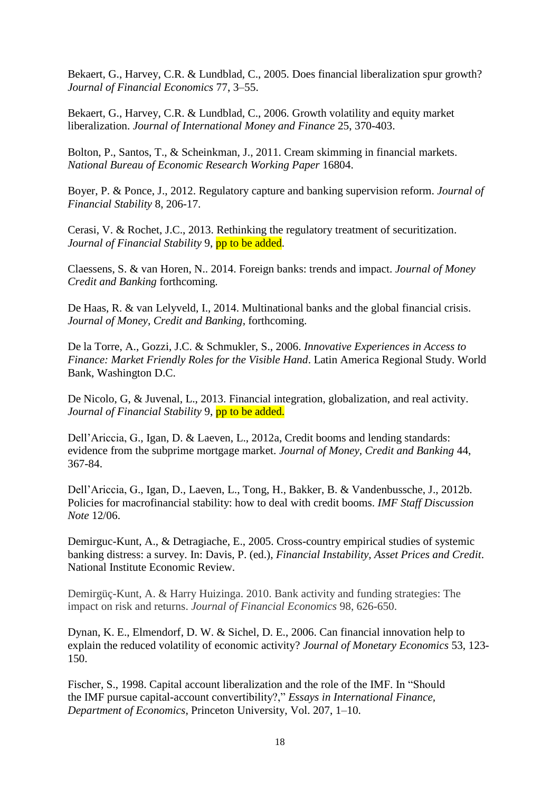Bekaert, G., Harvey, C.R. & Lundblad, C., 2005. Does financial liberalization spur growth? *Journal of Financial Economics* 77, 3–55.

Bekaert, G., Harvey, C.R. & Lundblad, C., 2006. Growth volatility and equity market liberalization. *Journal of International Money and Finance* 25, 370-403.

Bolton, P., Santos, T., & Scheinkman, J., 2011. Cream skimming in financial markets. *National Bureau of Economic Research Working Paper* 16804.

Boyer, P. & Ponce, J., 2012. Regulatory capture and banking supervision reform. *Journal of Financial Stability* 8, 206-17.

Cerasi, V. & Rochet, J.C., 2013. Rethinking the regulatory treatment of securitization. *Journal of Financial Stability* 9, **pp to be added**.

Claessens, S. & van Horen, N.. 2014. Foreign banks: trends and impact. *Journal of Money Credit and Banking* forthcoming*.*

De Haas, R. & van Lelyveld, I., 2014. Multinational banks and the global financial crisis. *Journal of Money, Credit and Banking*, forthcoming.

De la Torre, A., Gozzi, J.C. & Schmukler, S., 2006. *Innovative Experiences in Access to Finance: Market Friendly Roles for the Visible Hand*. Latin America Regional Study. World Bank, Washington D.C.

De Nicolo, G, & Juvenal, L., 2013. Financial integration, globalization, and real activity. Journal of Financial Stability 9, pp to be added.

Dell'Ariccia, G., Igan, D. & Laeven, L., 2012a, Credit booms and lending standards: evidence from the subprime mortgage market. *Journal of Money, Credit and Banking* 44, 367-84.

Dell'Ariccia, G., Igan, D., Laeven, L., Tong, H., Bakker, B. & Vandenbussche, J., 2012b. Policies for macrofinancial stability: how to deal with credit booms. *IMF Staff Discussion Note* 12/06.

Demirguc-Kunt, A., & Detragiache, E., 2005. Cross-country empirical studies of systemic banking distress: a survey. In: Davis, P. (ed.), *Financial Instability, Asset Prices and Credit*. National Institute Economic Review.

Demirgüç-Kunt, A. & Harry Huizinga. 2010. Bank activity and funding strategies: The impact on risk and returns. *Journal of Financial Economics* 98, 626-650.

Dynan, K. E., Elmendorf, D. W. & Sichel, D. E., 2006. Can financial innovation help to explain the reduced volatility of economic activity? *Journal of Monetary Economics* 53, 123- 150.

Fischer, S., 1998. Capital account liberalization and the role of the IMF. In "Should the IMF pursue capital-account convertibility?," *Essays in International Finance, Department of Economics*, Princeton University, Vol. 207, 1–10.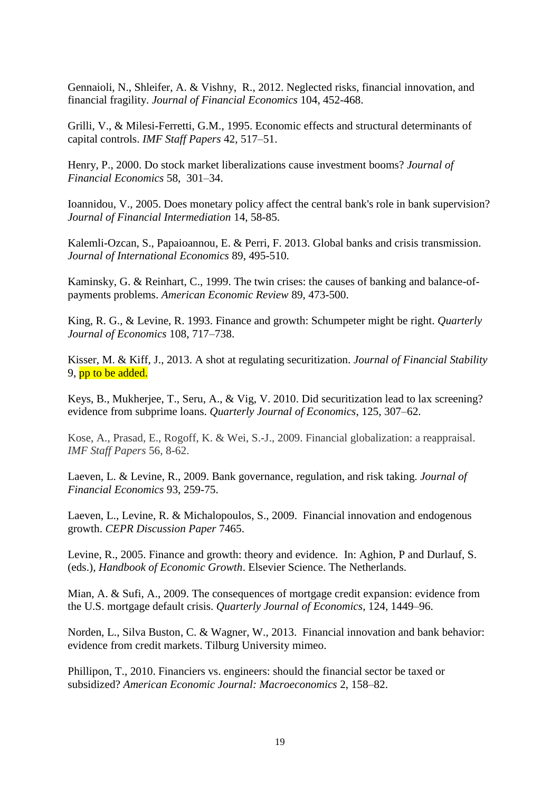Gennaioli, N., Shleifer, A. & Vishny, R., 2012. Neglected risks, financial innovation, and financial fragility. *Journal of Financial Economics* 104, 452-468.

Grilli, V., & Milesi-Ferretti, G.M., 1995. Economic effects and structural determinants of capital controls. *IMF Staff Papers* 42, 517–51.

Henry, P., 2000. Do stock market liberalizations cause investment booms? *Journal of Financial Economics* 58, 301–34.

Ioannidou, V., 2005. Does monetary policy affect the central bank's role in bank supervision? *Journal of Financial Intermediation* 14, 58-85.

Kalemli-Ozcan, S., Papaioannou, E. & Perri, F. 2013. Global banks and crisis transmission. *Journal of International Economics* 89, 495-510.

Kaminsky, G. & Reinhart, C., 1999. The twin crises: the causes of banking and balance-ofpayments problems. *American Economic Review* 89, 473-500.

King, R. G., & Levine, R. 1993. Finance and growth: Schumpeter might be right. *Quarterly Journal of Economics* 108, 717–738.

Kisser, M. & Kiff, J., 2013. A shot at regulating securitization. *Journal of Financial Stability* 9, pp to be added.

Keys, B., Mukherjee, T., Seru, A., & Vig, V. 2010. Did securitization lead to lax screening? evidence from subprime loans. *Quarterly Journal of Economics*, 125, 307–62.

Kose, A., Prasad, E., Rogoff, K. & Wei, S.-J., 2009. Financial globalization: a reappraisal. *IMF Staff Papers* 56, 8-62.

Laeven, L. & Levine, R., 2009. Bank governance, regulation, and risk taking. *Journal of Financial Economics* 93, 259-75.

Laeven, L., Levine, R. & Michalopoulos, S., 2009. Financial innovation and endogenous growth. *CEPR Discussion Paper* 7465.

Levine, R., 2005. Finance and growth: theory and evidence. In: Aghion, P and Durlauf, S. (eds.), *Handbook of Economic Growth*. Elsevier Science. The Netherlands.

Mian, A. & Sufi, A., 2009. The consequences of mortgage credit expansion: evidence from the U.S. mortgage default crisis. *Quarterly Journal of Economics*, 124, 1449–96.

Norden, L., Silva Buston, C. & Wagner, W., 2013. Financial innovation and bank behavior: evidence from credit markets. Tilburg University mimeo.

Phillipon, T., 2010. Financiers vs. engineers: should the financial sector be taxed or subsidized? *American Economic Journal: Macroeconomics* 2, 158–82.